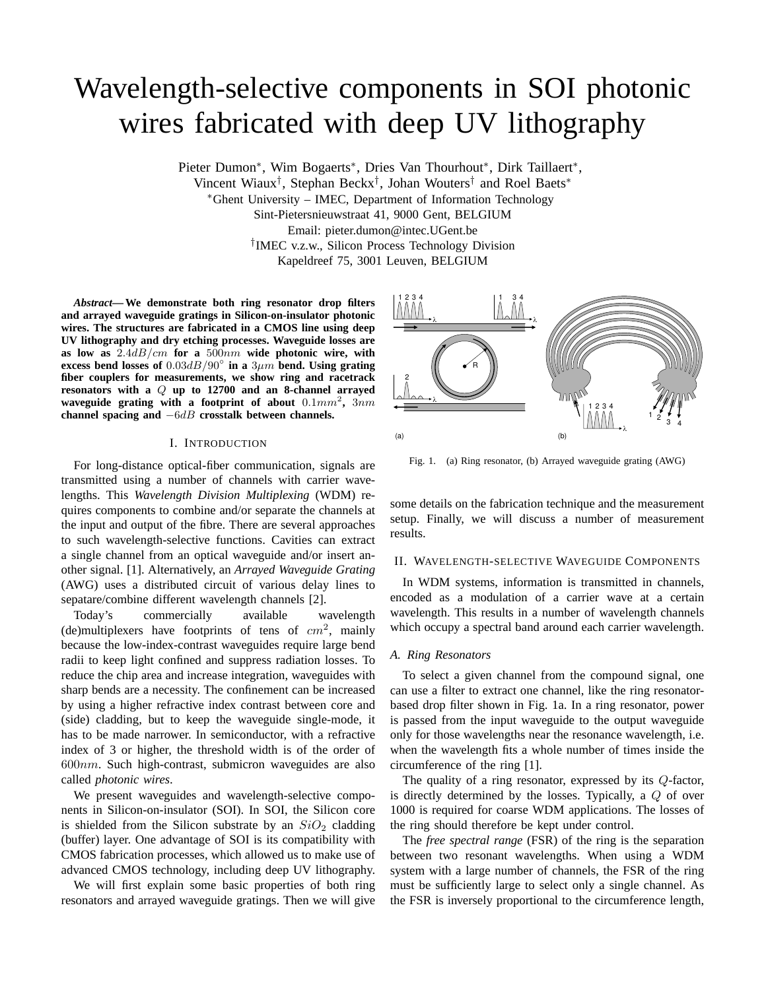# Wavelength-selective components in SOI photonic wires fabricated with deep UV lithography

Pieter Dumon\*, Wim Bogaerts\*, Dries Van Thourhout\*, Dirk Taillaert\*,

Vincent Wiaux<sup>†</sup>, Stephan Beckx<sup>†</sup>, Johan Wouters<sup>†</sup> and Roel Baets<sup>\*</sup>

<sup>∗</sup>Ghent University – IMEC, Department of Information Technology

Sint-Pietersnieuwstraat 41, 9000 Gent, BELGIUM

Email: pieter.dumon@intec.UGent.be

† IMEC v.z.w., Silicon Process Technology Division

Kapeldreef 75, 3001 Leuven, BELGIUM

*Abstract***— We demonstrate both ring resonator drop filters and arrayed waveguide gratings in Silicon-on-insulator photonic wires. The structures are fabricated in a CMOS line using deep UV lithography and dry etching processes. Waveguide losses are as low as** 2.4dB/cm **for a** 500nm **wide photonic wire, with excess bend losses of** 0.03dB/90◦ **in a** 3µm **bend. Using grating fiber couplers for measurements, we show ring and racetrack resonators with a** Q **up to 12700 and an 8-channel arrayed waveguide grating with a footprint of about** 0.1mm<sup>2</sup> **,** 3nm **channel spacing and** −6dB **crosstalk between channels.**

## I. INTRODUCTION

For long-distance optical-fiber communication, signals are transmitted using a number of channels with carrier wavelengths. This *Wavelength Division Multiplexing* (WDM) requires components to combine and/or separate the channels at the input and output of the fibre. There are several approaches to such wavelength-selective functions. Cavities can extract a single channel from an optical waveguide and/or insert another signal. [1]. Alternatively, an *Arrayed Waveguide Grating* (AWG) uses a distributed circuit of various delay lines to sepatare/combine different wavelength channels [2].

Today's commercially available wavelength (de)multiplexers have footprints of tens of  $cm<sup>2</sup>$ , mainly because the low-index-contrast waveguides require large bend radii to keep light confined and suppress radiation losses. To reduce the chip area and increase integration, waveguides with sharp bends are a necessity. The confinement can be increased by using a higher refractive index contrast between core and (side) cladding, but to keep the waveguide single-mode, it has to be made narrower. In semiconductor, with a refractive index of 3 or higher, the threshold width is of the order of  $600nm$ . Such high-contrast, submicron waveguides are also called *photonic wires*.

We present waveguides and wavelength-selective components in Silicon-on-insulator (SOI). In SOI, the Silicon core is shielded from the Silicon substrate by an  $SiO<sub>2</sub>$  cladding (buffer) layer. One advantage of SOI is its compatibility with CMOS fabrication processes, which allowed us to make use of advanced CMOS technology, including deep UV lithography.

We will first explain some basic properties of both ring resonators and arrayed waveguide gratings. Then we will give



Fig. 1. (a) Ring resonator, (b) Arrayed waveguide grating (AWG)

some details on the fabrication technique and the measurement setup. Finally, we will discuss a number of measurement results.

## II. WAVELENGTH-SELECTIVE WAVEGUIDE COMPONENTS

In WDM systems, information is transmitted in channels, encoded as a modulation of a carrier wave at a certain wavelength. This results in a number of wavelength channels which occupy a spectral band around each carrier wavelength.

## *A. Ring Resonators*

To select a given channel from the compound signal, one can use a filter to extract one channel, like the ring resonatorbased drop filter shown in Fig. 1a. In a ring resonator, power is passed from the input waveguide to the output waveguide only for those wavelengths near the resonance wavelength, i.e. when the wavelength fits a whole number of times inside the circumference of the ring [1].

The quality of a ring resonator, expressed by its Q-factor, is directly determined by the losses. Typically, a Q of over 1000 is required for coarse WDM applications. The losses of the ring should therefore be kept under control.

The *free spectral range* (FSR) of the ring is the separation between two resonant wavelengths. When using a WDM system with a large number of channels, the FSR of the ring must be sufficiently large to select only a single channel. As the FSR is inversely proportional to the circumference length,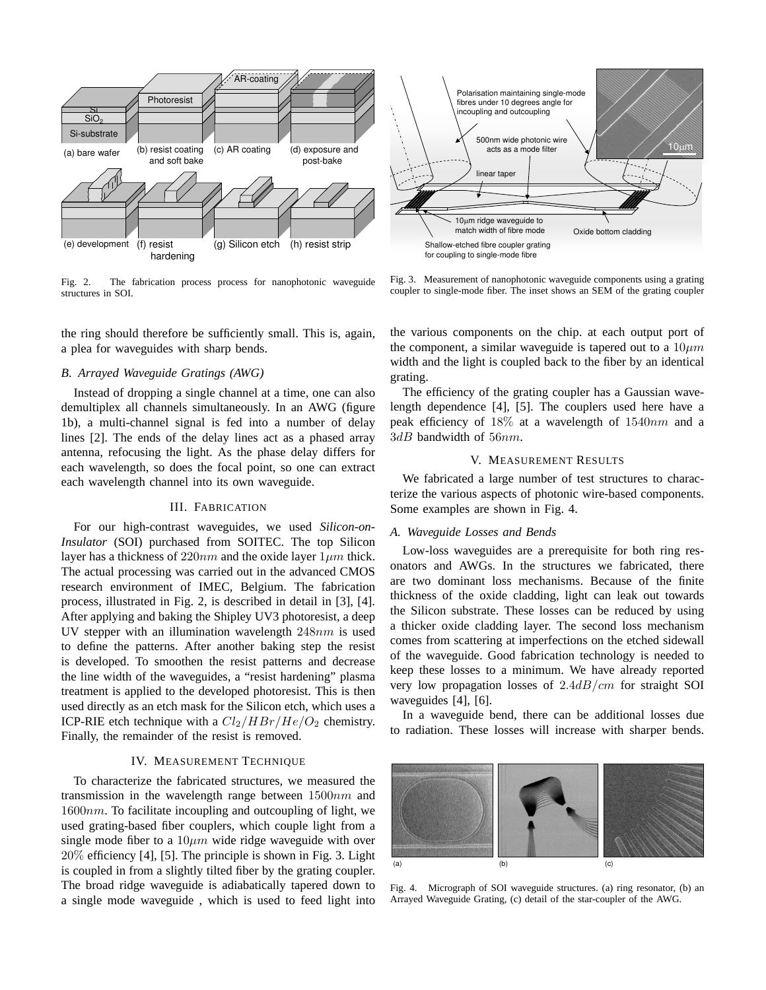

Fig. 2. The fabrication process process for nanophotonic waveguide structures in SOI.

the ring should therefore be sufficiently small. This is, again, a plea for waveguides with sharp bends.

# *B. Arrayed Waveguide Gratings (AWG)*

Instead of dropping a single channel at a time, one can also demultiplex all channels simultaneously. In an AWG (figure 1b), a multi-channel signal is fed into a number of delay lines [2]. The ends of the delay lines act as a phased array antenna, refocusing the light. As the phase delay differs for each wavelength, so does the focal point, so one can extract each wavelength channel into its own waveguide.

# III. FABRICATION

For our high-contrast waveguides, we used *Silicon-on-Insulator* (SOI) purchased from SOITEC. The top Silicon layer has a thickness of  $220nm$  and the oxide layer  $1\mu m$  thick. The actual processing was carried out in the advanced CMOS research environment of IMEC, Belgium. The fabrication process, illustrated in Fig. 2, is described in detail in [3], [4]. After applying and baking the Shipley UV3 photoresist, a deep UV stepper with an illumination wavelength 248nm is used to define the patterns. After another baking step the resist is developed. To smoothen the resist patterns and decrease the line width of the waveguides, a "resist hardening" plasma treatment is applied to the developed photoresist. This is then used directly as an etch mask for the Silicon etch, which uses a ICP-RIE etch technique with a  $Cl_2/HBr/He/O_2$  chemistry. Finally, the remainder of the resist is removed.

## IV. MEASUREMENT TECHNIQUE

To characterize the fabricated structures, we measured the transmission in the wavelength range between  $1500nm$  and  $1600nm$ . To facilitate incoupling and outcoupling of light, we used grating-based fiber couplers, which couple light from a single mode fiber to a  $10 \mu m$  wide ridge waveguide with over 20% efficiency [4], [5]. The principle is shown in Fig. 3. Light is coupled in from a slightly tilted fiber by the grating coupler. The broad ridge waveguide is adiabatically tapered down to a single mode waveguide , which is used to feed light into



Fig. 3. Measurement of nanophotonic waveguide components using a grating coupler to single-mode fiber. The inset shows an SEM of the grating coupler

the various components on the chip. at each output port of the component, a similar waveguide is tapered out to a  $10 \mu m$ width and the light is coupled back to the fiber by an identical grating.

The efficiency of the grating coupler has a Gaussian wavelength dependence [4], [5]. The couplers used here have a peak efficiency of  $18\%$  at a wavelength of  $1540nm$  and a  $3dB$  bandwidth of  $56nm$ .

# V. MEASUREMENT RESULTS

We fabricated a large number of test structures to characterize the various aspects of photonic wire-based components. Some examples are shown in Fig. 4.

## *A. Waveguide Losses and Bends*

Low-loss waveguides are a prerequisite for both ring resonators and AWGs. In the structures we fabricated, there are two dominant loss mechanisms. Because of the finite thickness of the oxide cladding, light can leak out towards the Silicon substrate. These losses can be reduced by using a thicker oxide cladding layer. The second loss mechanism comes from scattering at imperfections on the etched sidewall of the waveguide. Good fabrication technology is needed to keep these losses to a minimum. We have already reported very low propagation losses of  $2.4dB/cm$  for straight SOI waveguides [4], [6].

In a waveguide bend, there can be additional losses due to radiation. These losses will increase with sharper bends.



Fig. 4. Micrograph of SOI waveguide structures. (a) ring resonator, (b) an Arrayed Waveguide Grating, (c) detail of the star-coupler of the AWG.